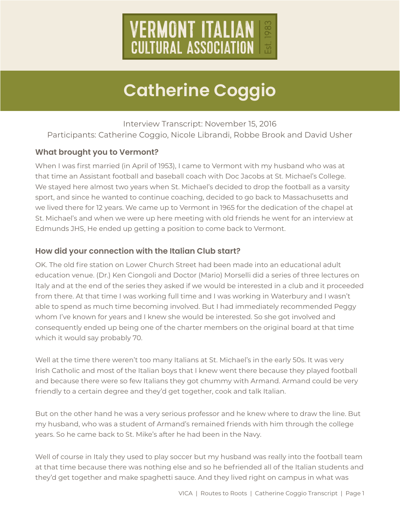

Interview Transcript: November 15, 2016 Participants: Catherine Coggio, Nicole Librandi, Robbe Brook and David Usher

### **What brought you to Vermont?**

When I was first married (in April of 1953), I came to Vermont with my husband who was at that time an Assistant football and baseball coach with Doc Jacobs at St. Michael's College. We stayed here almost two years when St. Michael's decided to drop the football as a varsity sport, and since he wanted to continue coaching, decided to go back to Massachusetts and we lived there for 12 years. We came up to Vermont in 1965 for the dedication of the chapel at St. Michael's and when we were up here meeting with old friends he went for an interview at Edmunds JHS, He ended up getting a position to come back to Vermont.

#### **How did your connection with the Italian Club start?**

OK. The old fire station on Lower Church Street had been made into an educational adult education venue. (Dr.) Ken Ciongoli and Doctor (Mario) Morselli did a series of three lectures on Italy and at the end of the series they asked if we would be interested in a club and it proceeded from there. At that time I was working full time and I was working in Waterbury and I wasn't able to spend as much time becoming involved. But I had immediately recommended Peggy whom I've known for years and I knew she would be interested. So she got involved and consequently ended up being one of the charter members on the original board at that time which it would say probably 70.

Well at the time there weren't too many Italians at St. Michael's in the early 50s. It was very Irish Catholic and most of the Italian boys that I knew went there because they played football and because there were so few Italians they got chummy with Armand. Armand could be very friendly to a certain degree and they'd get together, cook and talk Italian.

But on the other hand he was a very serious professor and he knew where to draw the line. But my husband, who was a student of Armand's remained friends with him through the college years. So he came back to St. Mike's after he had been in the Navy.

Well of course in Italy they used to play soccer but my husband was really into the football team at that time because there was nothing else and so he befriended all of the Italian students and they'd get together and make spaghetti sauce. And they lived right on campus in what was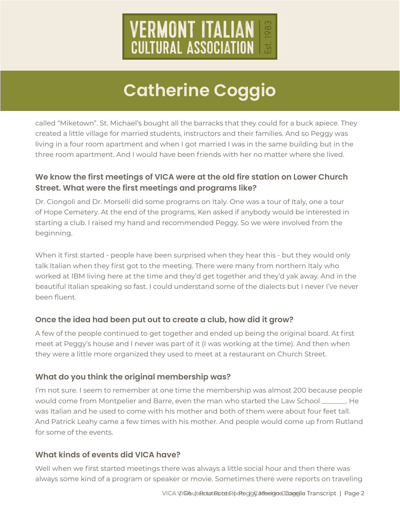

called "Miketown". St. Michael's bought all the barracks that they could for a buck apiece. They created a little village for married students, instructors and their families. And so Peggy was living in a four room apartment and when I got married I was in the same building but in the three room apartment. And I would have been friends with her no matter where she lived.

# **We know the first meetings of VICA were at the old fire station on Lower Church Street. What were the first meetings and programs like?**

Dr. Ciongoli and Dr. Morselli did some programs on Italy. One was a tour of Italy, one a tour of Hope Cemetery. At the end of the programs, Ken asked if anybody would be interested in starting a club. I raised my hand and recommended Peggy. So we were involved from the beginning.

When it first started - people have been surprised when they hear this - but they would only talk Italian when they first got to the meeting. There were many from northern Italy who worked at IBM living here at the time and they'd get together and they'd yak away. And in the beautiful Italian speaking so fast. I could understand some of the dialects but I never I've never been fluent.

### **Once the idea had been put out to create a club, how did it grow?**

A few of the people continued to get together and ended up being the original board. At first meet at Peggy's house and I never was part of it (I was working at the time). And then when they were a little more organized they used to meet at a restaurant on Church Street.

### **What do you think the original membership was?**

I'm not sure. I seem to remember at one time the membership was almost 200 because people would come from Montpelier and Barre, even the man who started the Law School \_\_\_\_\_\_\_. He was Italian and he used to come with his mother and both of them were about four feet tall. And Patrick Leahy came a few times with his mother. And people would come up from Rutland for some of the events.

### **What kinds of events did VICA have?**

Well when we first started meetings there was always a little social hour and then there was always some kind of a program or speaker or movie. Sometimes there were reports on traveling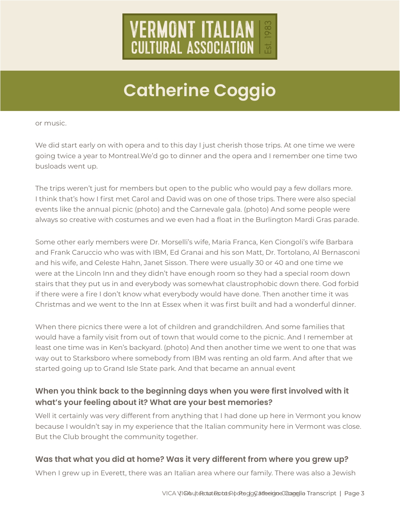

We did start early on with opera and to this day I just cherish those trips. At one time we were going twice a year to Montreal.We'd go to dinner and the opera and I remember one time two busloads went up.

The trips weren't just for members but open to the public who would pay a few dollars more. I think that's how I first met Carol and David was on one of those trips. There were also special events like the annual picnic (photo) and the Carnevale gala. (photo) And some people were always so creative with costumes and we even had a float in the Burlington Mardi Gras parade.

or music.<br>We did start early on with opera and to this day I just cherish those trips. At one<br>going twice a year to Montreal.We'd go to dinner and the opera and I remember<br>busloads wont up.<br>The trips weren't just for membe Some other early members were Dr. Morselli's wife, Maria Franca, Ken Ciongoli's wife Barbara and Frank Caruccio who was with IBM, Ed Granai and his son Matt, Dr. Tortolano, Al Bernasconi and his wife, and Celeste Hahn, Janet Sisson. There were usually 30 or 40 and one time we were at the Lincoln Inn and they didn't have enough room so they had a special room down stairs that they put us in and everybody was somewhat claustrophobic down there. God forbid if there were a fire I don't know what everybody would have done. Then another time it was Christmas and we went to the Inn at Essex when it was first built and had a wonderful dinner.

When there picnics there were a lot of children and grandchildren. And some families that would have a family visit from out of town that would come to the picnic. And I remember at least one time was in Ken's backyard. (photo) And then another time we went to one that was way out to Starksboro where somebody from IBM was renting an old farm. And after that we started going up to Grand Isle State park. And that became an annual event

### **When you think back to the beginning days when you were first involved with it what's your feeling about it? What are your best memories?**

Well it certainly was very different from anything that I had done up here in Vermont you know because I wouldn't say in my experience that the Italian community here in Vermont was close. But the Club brought the community together.

### **Was that what you did at home? Was it very different from where you grew up?**

When I grew up in Everett, there was an Italian area where our family. There was also a Jewish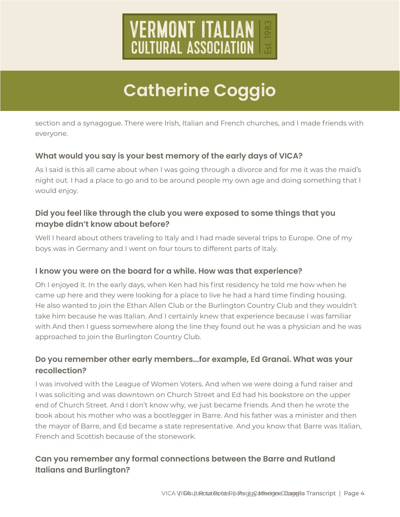

everyone.

### **What would you say is your best memory of the early days of VICA?**

As I said is this all came about when I was going through a divorce and for me it was the maid's night out. I had a place to go and to be around people my own age and doing something that I would enjoy.

# **Did you feel like through the club you were exposed to some things that you maybe didn't know about before?**

Well I heard about others traveling to Italy and I had made several trips to Europe. One of my boys was in Germany and I went on four tours to different parts of Italy.

### **I know you were on the board for a while. How was that experience?**

Oh I enjoyed it. In the early days, when Ken had his first residency he told me how when he came up here and they were looking for a place to live he had a hard time finding housing. He also wanted to join the Ethan Allen Club or the Burlington Country Club and they wouldn't take him because he was Italian. And I certainly knew that experience because I was familiar with And then I guess somewhere along the line they found out he was a physician and he was approached to join the Burlington Country Club.

## **Do you remember other early members...for example, Ed Granai. What was your recollection?**

section and a synagogue. There were Irish, Italian and French churches, and I made friends with<br>What would you say is your best memory of the early days of VICA?<br>As I said is this all came about when I was going through a I was involved with the League of Women Voters. And when we were doing a fund raiser and I was soliciting and was downtown on Church Street and Ed had his bookstore on the upper end of Church Street. And I don't know why, we just became friends. And then he wrote the book about his mother who was a bootlegger in Barre. And his father was a minister and then the mayor of Barre, and Ed became a state representative. And you know that Barre was Italian, French and Scottish because of the stonework.

# **Can you remember any formal connections between the Barre and Rutland Italians and Burlington?**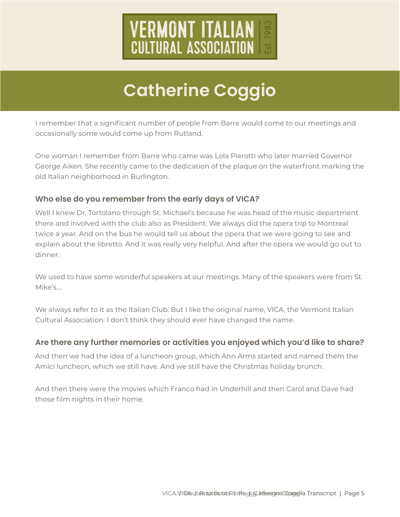

occasionally some would come up from Rutland.

One woman I remember from Barre who came was Lola Pierotti who later married Governor George Aiken. She recently came to the dedication of the plaque on the waterfront marking the old Italian neighborhood in Burlington.

### **Who else do you remember from the early days of VICA?**

If emern that a significant number of neeple from Barre would come to our meetings and<br>occasionally some would come up from Rudard.<br>One woman I remember from Barre who carne was Lola Pieroti who later married Governor<br>Geor Well I knew Dr. Tortolano through St. Michael's because he was head of the music department there and involved with the club also as President. We always did the opera trip to Montreal twice a year. And on the bus he would tell us about the opera that we were going to see and explain about the libretto. And it was really very helpful. And after the opera we would go out to dinner.

We used to have some wonderful speakers at our meetings. Many of the speakers were from St. Mike's….

We always refer to it as the Italian Club. But I like the original name, VICA, the Vermont Italian Cultural Association. I don't think they should ever have changed the name.

#### **Are there any further memories or activities you enjoyed which you'd like to share?**

And then we had the idea of a luncheon group, which Ann Arms started and named them the Amici luncheon, which we still have. And we still have the Christmas holiday brunch.

And then there were the movies which Franco had in Underhill and then Carol and Dave had those film nights in their home.